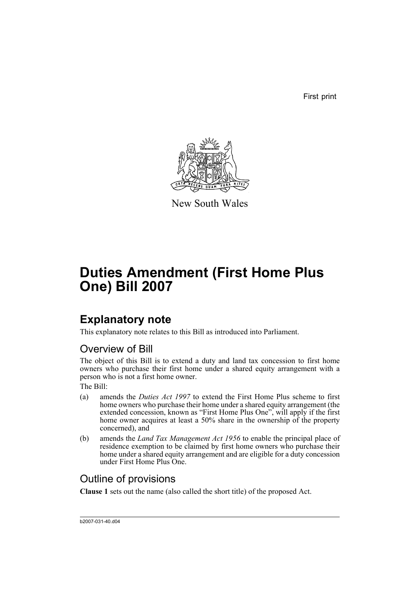First print



New South Wales

# **Duties Amendment (First Home Plus One) Bill 2007**

## **Explanatory note**

This explanatory note relates to this Bill as introduced into Parliament.

## Overview of Bill

The object of this Bill is to extend a duty and land tax concession to first home owners who purchase their first home under a shared equity arrangement with a person who is not a first home owner.

The Bill:

- (a) amends the *Duties Act 1997* to extend the First Home Plus scheme to first home owners who purchase their home under a shared equity arrangement (the extended concession, known as "First Home Plus One", will apply if the first home owner acquires at least a 50% share in the ownership of the property concerned), and
- (b) amends the *Land Tax Management Act 1956* to enable the principal place of residence exemption to be claimed by first home owners who purchase their home under a shared equity arrangement and are eligible for a duty concession under First Home Plus One.

## Outline of provisions

**Clause 1** sets out the name (also called the short title) of the proposed Act.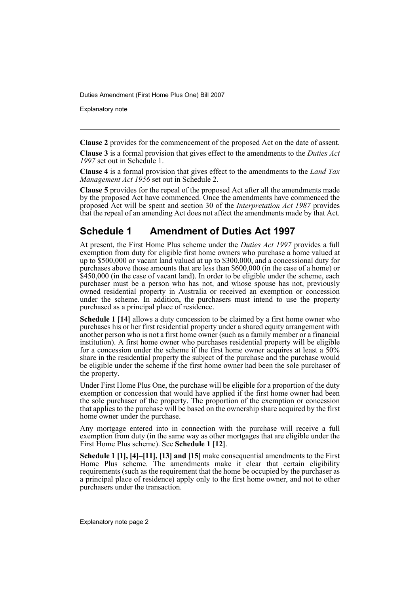Explanatory note

**Clause 2** provides for the commencement of the proposed Act on the date of assent.

**Clause 3** is a formal provision that gives effect to the amendments to the *Duties Act 1997* set out in Schedule 1.

**Clause 4** is a formal provision that gives effect to the amendments to the *Land Tax Management Act 1956* set out in Schedule 2.

**Clause 5** provides for the repeal of the proposed Act after all the amendments made by the proposed Act have commenced. Once the amendments have commenced the proposed Act will be spent and section 30 of the *Interpretation Act 1987* provides that the repeal of an amending Act does not affect the amendments made by that Act.

## **Schedule 1 Amendment of Duties Act 1997**

At present, the First Home Plus scheme under the *Duties Act 1997* provides a full exemption from duty for eligible first home owners who purchase a home valued at up to \$500,000 or vacant land valued at up to \$300,000, and a concessional duty for purchases above those amounts that are less than \$600,000 (in the case of a home) or \$450,000 (in the case of vacant land). In order to be eligible under the scheme, each purchaser must be a person who has not, and whose spouse has not, previously owned residential property in Australia or received an exemption or concession under the scheme. In addition, the purchasers must intend to use the property purchased as a principal place of residence.

**Schedule 1 [14]** allows a duty concession to be claimed by a first home owner who purchases his or her first residential property under a shared equity arrangement with another person who is not a first home owner (such as a family member or a financial institution). A first home owner who purchases residential property will be eligible for a concession under the scheme if the first home owner acquires at least a 50% share in the residential property the subject of the purchase and the purchase would be eligible under the scheme if the first home owner had been the sole purchaser of the property.

Under First Home Plus One, the purchase will be eligible for a proportion of the duty exemption or concession that would have applied if the first home owner had been the sole purchaser of the property. The proportion of the exemption or concession that applies to the purchase will be based on the ownership share acquired by the first home owner under the purchase.

Any mortgage entered into in connection with the purchase will receive a full exemption from duty (in the same way as other mortgages that are eligible under the First Home Plus scheme). See **Schedule 1 [12]**.

**Schedule 1 [1], [4]–[11], [13] and [15]** make consequential amendments to the First Home Plus scheme. The amendments make it clear that certain eligibility requirements (such as the requirement that the home be occupied by the purchaser as a principal place of residence) apply only to the first home owner, and not to other purchasers under the transaction.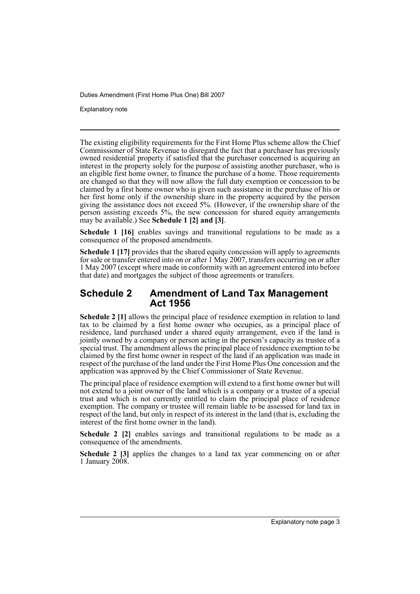Explanatory note

The existing eligibility requirements for the First Home Plus scheme allow the Chief Commissioner of State Revenue to disregard the fact that a purchaser has previously owned residential property if satisfied that the purchaser concerned is acquiring an interest in the property solely for the purpose of assisting another purchaser, who is an eligible first home owner, to finance the purchase of a home. Those requirements are changed so that they will now allow the full duty exemption or concession to be claimed by a first home owner who is given such assistance in the purchase of his or her first home only if the ownership share in the property acquired by the person giving the assistance does not exceed 5%. (However, if the ownership share of the person assisting exceeds 5%, the new concession for shared equity arrangements may be available.) See **Schedule 1 [2] and [3]**.

**Schedule 1 [16]** enables savings and transitional regulations to be made as a consequence of the proposed amendments.

**Schedule 1 [17]** provides that the shared equity concession will apply to agreements for sale or transfer entered into on or after 1 May 2007, transfers occurring on or after 1 May 2007 (except where made in conformity with an agreement entered into before that date) and mortgages the subject of those agreements or transfers.

## **Schedule 2 Amendment of Land Tax Management Act 1956**

**Schedule 2 [1]** allows the principal place of residence exemption in relation to land tax to be claimed by a first home owner who occupies, as a principal place of residence, land purchased under a shared equity arrangement, even if the land is jointly owned by a company or person acting in the person's capacity as trustee of a special trust. The amendment allows the principal place of residence exemption to be claimed by the first home owner in respect of the land if an application was made in respect of the purchase of the land under the First Home Plus One concession and the application was approved by the Chief Commissioner of State Revenue.

The principal place of residence exemption will extend to a first home owner but will not extend to a joint owner of the land which is a company or a trustee of a special trust and which is not currently entitled to claim the principal place of residence exemption. The company or trustee will remain liable to be assessed for land tax in respect of the land, but only in respect of its interest in the land (that is, excluding the interest of the first home owner in the land).

**Schedule 2** [2] enables savings and transitional regulations to be made as a consequence of the amendments.

**Schedule 2 [3]** applies the changes to a land tax year commencing on or after 1 January 2008.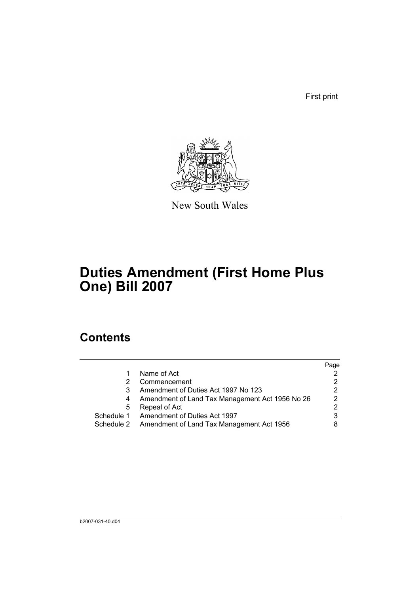First print



New South Wales

# **Duties Amendment (First Home Plus One) Bill 2007**

## **Contents**

|            |                                                 | Page           |
|------------|-------------------------------------------------|----------------|
|            | Name of Act                                     |                |
|            | Commencement                                    | 2              |
|            | Amendment of Duties Act 1997 No 123             | 2              |
|            | Amendment of Land Tax Management Act 1956 No 26 | 2              |
| 5          | Repeal of Act                                   | $\overline{2}$ |
|            | Schedule 1 Amendment of Duties Act 1997         | 3              |
| Schedule 2 | Amendment of Land Tax Management Act 1956       |                |
|            |                                                 |                |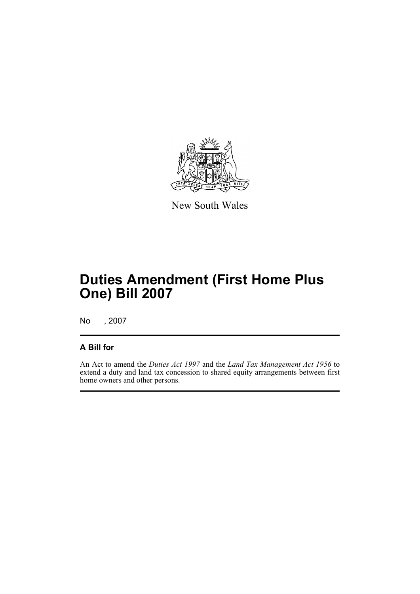

New South Wales

# **Duties Amendment (First Home Plus One) Bill 2007**

No , 2007

## **A Bill for**

An Act to amend the *Duties Act 1997* and the *Land Tax Management Act 1956* to extend a duty and land tax concession to shared equity arrangements between first home owners and other persons.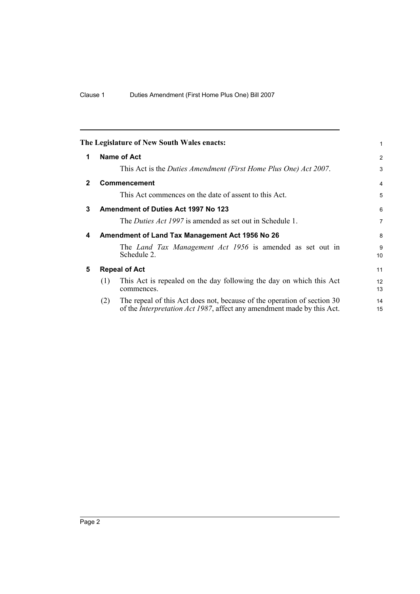<span id="page-7-4"></span><span id="page-7-3"></span><span id="page-7-2"></span><span id="page-7-1"></span><span id="page-7-0"></span>

|              |                      | The Legislature of New South Wales enacts:                                                                                                                | 1              |  |
|--------------|----------------------|-----------------------------------------------------------------------------------------------------------------------------------------------------------|----------------|--|
| 1            |                      | Name of Act                                                                                                                                               | 2              |  |
|              |                      | This Act is the Duties Amendment (First Home Plus One) Act 2007.                                                                                          | 3              |  |
| $\mathbf{2}$ |                      | Commencement                                                                                                                                              | 4              |  |
|              |                      | This Act commences on the date of assent to this Act.                                                                                                     | 5              |  |
| 3            |                      | Amendment of Duties Act 1997 No 123                                                                                                                       | 6              |  |
|              |                      | The <i>Duties Act 1997</i> is amended as set out in Schedule 1.                                                                                           | $\overline{7}$ |  |
| 4            |                      | Amendment of Land Tax Management Act 1956 No 26                                                                                                           | 8              |  |
|              |                      | The <i>Land Tax Management Act 1956</i> is amended as set out in<br>Schedule 2.                                                                           | 9<br>10        |  |
| 5            | <b>Repeal of Act</b> |                                                                                                                                                           |                |  |
|              | (1)                  | This Act is repealed on the day following the day on which this Act<br>commences.                                                                         | 12<br>13       |  |
|              | (2)                  | The repeal of this Act does not, because of the operation of section 30<br>of the <i>Interpretation Act 1987</i> , affect any amendment made by this Act. | 14<br>15       |  |
|              |                      |                                                                                                                                                           |                |  |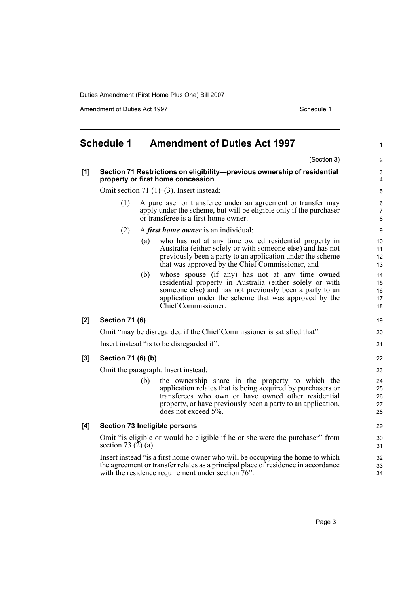Amendment of Duties Act 1997 Schedule 1

<span id="page-8-0"></span>

| <b>Schedule 1</b><br><b>Amendment of Duties Act 1997</b> |                                                                                                          |     | $\mathbf{1}$                                                                                                                                                                                                                                                     |                            |  |
|----------------------------------------------------------|----------------------------------------------------------------------------------------------------------|-----|------------------------------------------------------------------------------------------------------------------------------------------------------------------------------------------------------------------------------------------------------------------|----------------------------|--|
|                                                          |                                                                                                          |     | (Section 3)                                                                                                                                                                                                                                                      | 2                          |  |
| [1]                                                      |                                                                                                          |     | Section 71 Restrictions on eligibility-previous ownership of residential<br>property or first home concession                                                                                                                                                    | 3<br>$\overline{4}$        |  |
|                                                          |                                                                                                          |     | Omit section 71 $(1)$ – $(3)$ . Insert instead:                                                                                                                                                                                                                  | 5                          |  |
|                                                          | (1)                                                                                                      |     | A purchaser or transferee under an agreement or transfer may<br>apply under the scheme, but will be eligible only if the purchaser<br>or transferee is a first home owner.                                                                                       |                            |  |
|                                                          | (2)                                                                                                      |     | A <i>first home owner</i> is an individual:                                                                                                                                                                                                                      | 9                          |  |
|                                                          |                                                                                                          | (a) | who has not at any time owned residential property in<br>Australia (either solely or with someone else) and has not<br>previously been a party to an application under the scheme<br>that was approved by the Chief Commissioner, and                            | 10<br>11<br>12<br>13       |  |
|                                                          |                                                                                                          | (b) | whose spouse (if any) has not at any time owned<br>residential property in Australia (either solely or with<br>someone else) and has not previously been a party to an<br>application under the scheme that was approved by the<br>Chief Commissioner.           | 14<br>15<br>16<br>17<br>18 |  |
| $[2]$                                                    | <b>Section 71 (6)</b>                                                                                    |     |                                                                                                                                                                                                                                                                  | 19                         |  |
|                                                          |                                                                                                          |     | Omit "may be disregarded if the Chief Commissioner is satisfied that".                                                                                                                                                                                           | 20                         |  |
|                                                          |                                                                                                          |     | Insert instead "is to be disregarded if".                                                                                                                                                                                                                        | 21                         |  |
| $[3]$                                                    | Section 71 (6) (b)                                                                                       |     |                                                                                                                                                                                                                                                                  | 22                         |  |
|                                                          |                                                                                                          |     | Omit the paragraph. Insert instead:                                                                                                                                                                                                                              | 23                         |  |
|                                                          |                                                                                                          | (b) | the ownership share in the property to which the<br>application relates that is being acquired by purchasers or<br>transferees who own or have owned other residential<br>property, or have previously been a party to an application,<br>does not exceed $5%$ . | 24<br>25<br>26<br>27<br>28 |  |
| [4]                                                      |                                                                                                          |     | <b>Section 73 Ineligible persons</b>                                                                                                                                                                                                                             | 29                         |  |
|                                                          | Omit "is eligible or would be eligible if he or she were the purchaser" from<br>section 73 $(2)$ $(a)$ . |     |                                                                                                                                                                                                                                                                  |                            |  |
|                                                          |                                                                                                          |     | Insert instead "is a first home owner who will be occupying the home to which<br>the agreement or transfer relates as a principal place of residence in accordance<br>with the residence requirement under section 76".                                          | 32<br>33<br>34             |  |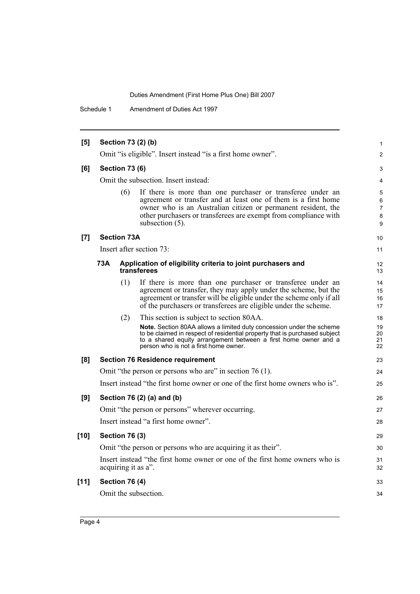Schedule 1 Amendment of Duties Act 1997

| [5]    |     |                       | Section 73 (2) (b)                                                                                                                                                                                                                                                                     | $\mathbf{1}$                       |
|--------|-----|-----------------------|----------------------------------------------------------------------------------------------------------------------------------------------------------------------------------------------------------------------------------------------------------------------------------------|------------------------------------|
|        |     |                       | Omit "is eligible". Insert instead "is a first home owner".                                                                                                                                                                                                                            | $\overline{2}$                     |
| [6]    |     | <b>Section 73 (6)</b> |                                                                                                                                                                                                                                                                                        | 3                                  |
|        |     |                       | Omit the subsection. Insert instead:                                                                                                                                                                                                                                                   | 4                                  |
|        |     | (6)                   | If there is more than one purchaser or transferee under an<br>agreement or transfer and at least one of them is a first home<br>owner who is an Australian citizen or permanent resident, the<br>other purchasers or transferees are exempt from compliance with<br>subsection $(5)$ . | 5<br>6<br>$\overline{7}$<br>8<br>9 |
| [7]    |     | <b>Section 73A</b>    |                                                                                                                                                                                                                                                                                        | 10                                 |
|        |     |                       | Insert after section 73:                                                                                                                                                                                                                                                               | 11                                 |
|        | 73A |                       | Application of eligibility criteria to joint purchasers and<br>transferees                                                                                                                                                                                                             | 12<br>13                           |
|        |     | (1)                   | If there is more than one purchaser or transferee under an<br>agreement or transfer, they may apply under the scheme, but the<br>agreement or transfer will be eligible under the scheme only if all<br>of the purchasers or transferees are eligible under the scheme.                | 14<br>15<br>16<br>17               |
|        |     | (2)                   | This section is subject to section 80AA.                                                                                                                                                                                                                                               | 18                                 |
|        |     |                       | <b>Note.</b> Section 80AA allows a limited duty concession under the scheme<br>to be claimed in respect of residential property that is purchased subject<br>to a shared equity arrangement between a first home owner and a<br>person who is not a first home owner.                  | 19<br>20<br>21<br>22               |
| [8]    |     |                       | <b>Section 76 Residence requirement</b>                                                                                                                                                                                                                                                | 23                                 |
|        |     |                       | Omit "the person or persons who are" in section 76 (1).                                                                                                                                                                                                                                | 24                                 |
|        |     |                       | Insert instead "the first home owner or one of the first home owners who is".                                                                                                                                                                                                          | 25                                 |
| [9]    |     |                       | Section 76 (2) (a) and (b)                                                                                                                                                                                                                                                             | 26                                 |
|        |     |                       | Omit "the person or persons" wherever occurring.                                                                                                                                                                                                                                       | 27                                 |
|        |     |                       | Insert instead "a first home owner".                                                                                                                                                                                                                                                   | 28                                 |
| $[10]$ |     | <b>Section 76 (3)</b> |                                                                                                                                                                                                                                                                                        | 29                                 |
|        |     |                       | Omit "the person or persons who are acquiring it as their".                                                                                                                                                                                                                            | 30                                 |
|        |     |                       | Insert instead "the first home owner or one of the first home owners who is<br>acquiring it as a".                                                                                                                                                                                     | 31<br>32                           |
| [11]   |     | <b>Section 76 (4)</b> |                                                                                                                                                                                                                                                                                        | 33                                 |
|        |     |                       | Omit the subsection.                                                                                                                                                                                                                                                                   | 34                                 |
|        |     |                       |                                                                                                                                                                                                                                                                                        |                                    |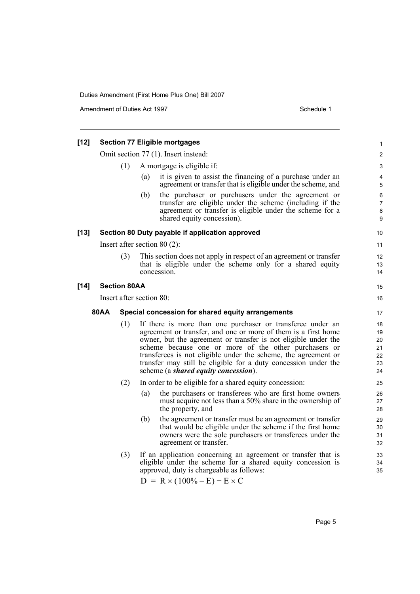Amendment of Duties Act 1997 Schedule 1

| [12]   |                          |                     |     | <b>Section 77 Eligible mortgages</b>                                                                                                                                                                                                                                                                                                                                                                                                | 1                                      |
|--------|--------------------------|---------------------|-----|-------------------------------------------------------------------------------------------------------------------------------------------------------------------------------------------------------------------------------------------------------------------------------------------------------------------------------------------------------------------------------------------------------------------------------------|----------------------------------------|
|        |                          |                     |     | Omit section 77 (1). Insert instead:                                                                                                                                                                                                                                                                                                                                                                                                | $\overline{\mathbf{c}}$                |
|        |                          | (1)                 |     | A mortgage is eligible if:                                                                                                                                                                                                                                                                                                                                                                                                          | 3                                      |
|        |                          |                     | (a) | it is given to assist the financing of a purchase under an<br>agreement or transfer that is eligible under the scheme, and                                                                                                                                                                                                                                                                                                          | 4<br>5                                 |
|        |                          |                     | (b) | the purchaser or purchasers under the agreement or<br>transfer are eligible under the scheme (including if the<br>agreement or transfer is eligible under the scheme for a<br>shared equity concession).                                                                                                                                                                                                                            | 6<br>7<br>8<br>9                       |
| [13]   |                          |                     |     | Section 80 Duty payable if application approved                                                                                                                                                                                                                                                                                                                                                                                     | 10                                     |
|        |                          |                     |     | Insert after section $80(2)$ :                                                                                                                                                                                                                                                                                                                                                                                                      | 11                                     |
|        |                          | (3)                 |     | This section does not apply in respect of an agreement or transfer<br>that is eligible under the scheme only for a shared equity<br>concession.                                                                                                                                                                                                                                                                                     | 12<br>13<br>14                         |
| $[14]$ |                          | <b>Section 80AA</b> |     |                                                                                                                                                                                                                                                                                                                                                                                                                                     | 15                                     |
|        | Insert after section 80: |                     |     |                                                                                                                                                                                                                                                                                                                                                                                                                                     | 16                                     |
|        | 80AA                     |                     |     | Special concession for shared equity arrangements                                                                                                                                                                                                                                                                                                                                                                                   | 17                                     |
|        |                          | (1)                 |     | If there is more than one purchaser or transferee under an<br>agreement or transfer, and one or more of them is a first home<br>owner, but the agreement or transfer is not eligible under the<br>scheme because one or more of the other purchasers or<br>transferees is not eligible under the scheme, the agreement or<br>transfer may still be eligible for a duty concession under the<br>scheme (a shared equity concession). | 18<br>19<br>20<br>21<br>22<br>23<br>24 |
|        |                          | (2)                 |     | In order to be eligible for a shared equity concession:                                                                                                                                                                                                                                                                                                                                                                             | 25                                     |
|        |                          |                     | (a) | the purchasers or transferees who are first home owners<br>must acquire not less than a 50% share in the ownership of<br>the property, and                                                                                                                                                                                                                                                                                          | 26<br>27<br>28                         |
|        |                          |                     | (b) | the agreement or transfer must be an agreement or transfer<br>that would be eligible under the scheme if the first home<br>owners were the sole purchasers or transferees under the<br>agreement or transfer.                                                                                                                                                                                                                       | 29<br>30<br>31<br>32                   |
|        |                          | (3)                 |     | If an application concerning an agreement or transfer that is<br>eligible under the scheme for a shared equity concession is<br>approved, duty is chargeable as follows:                                                                                                                                                                                                                                                            | 33<br>34<br>35                         |
|        |                          |                     |     | $D = R \times (100\% - E) + E \times C$                                                                                                                                                                                                                                                                                                                                                                                             |                                        |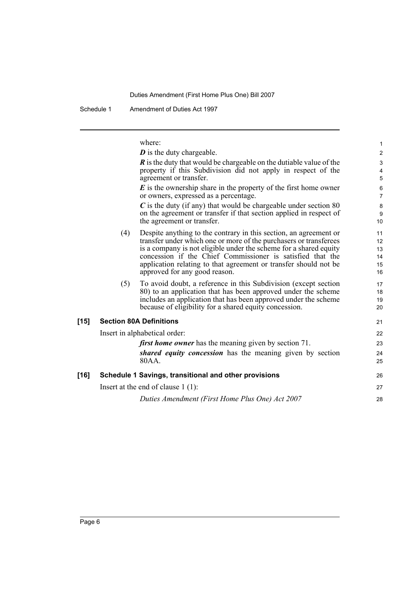Schedule 1 Amendment of Duties Act 1997

where:

|        |     | $\boldsymbol{D}$ is the duty chargeable.                                                                                                                                                                                                                                                                                                                                       | $\overline{a}$                                |
|--------|-----|--------------------------------------------------------------------------------------------------------------------------------------------------------------------------------------------------------------------------------------------------------------------------------------------------------------------------------------------------------------------------------|-----------------------------------------------|
|        |     | $\vec{R}$ is the duty that would be chargeable on the dutiable value of the<br>property if this Subdivision did not apply in respect of the<br>agreement or transfer.                                                                                                                                                                                                          | 3<br>$\overline{4}$<br>5                      |
|        |     | $\boldsymbol{E}$ is the ownership share in the property of the first home owner<br>or owners, expressed as a percentage.                                                                                                                                                                                                                                                       | 6<br>$\overline{7}$                           |
|        |     | $C$ is the duty (if any) that would be chargeable under section 80<br>on the agreement or transfer if that section applied in respect of<br>the agreement or transfer.                                                                                                                                                                                                         | 8<br>9<br>10 <sup>1</sup>                     |
|        | (4) | Despite anything to the contrary in this section, an agreement or<br>transfer under which one or more of the purchasers or transferees<br>is a company is not eligible under the scheme for a shared equity<br>concession if the Chief Commissioner is satisfied that the<br>application relating to that agreement or transfer should not be<br>approved for any good reason. | 11<br>12 <sup>°</sup><br>13<br>14<br>15<br>16 |
|        | (5) | To avoid doubt, a reference in this Subdivision (except section<br>80) to an application that has been approved under the scheme<br>includes an application that has been approved under the scheme<br>because of eligibility for a shared equity concession.                                                                                                                  | 17<br>18<br>19<br>20                          |
| $[15]$ |     | <b>Section 80A Definitions</b>                                                                                                                                                                                                                                                                                                                                                 | 21                                            |
|        |     | Insert in alphabetical order:                                                                                                                                                                                                                                                                                                                                                  | 22                                            |
|        |     | <i>first home owner</i> has the meaning given by section 71.                                                                                                                                                                                                                                                                                                                   | 23                                            |
|        |     | shared equity concession has the meaning given by section<br>80AA.                                                                                                                                                                                                                                                                                                             | 24<br>25                                      |
| [16]   |     | Schedule 1 Savings, transitional and other provisions                                                                                                                                                                                                                                                                                                                          | 26                                            |
|        |     | Insert at the end of clause $1(1)$ :                                                                                                                                                                                                                                                                                                                                           | 27                                            |
|        |     | Duties Amendment (First Home Plus One) Act 2007                                                                                                                                                                                                                                                                                                                                | 28                                            |
|        |     |                                                                                                                                                                                                                                                                                                                                                                                |                                               |

1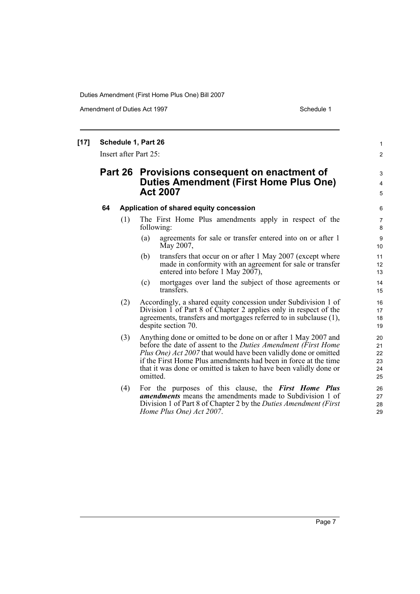Amendment of Duties Act 1997 New York 1997 Network 1997

#### **[17] Schedule 1, Part 26** Insert after Part 25: **Part 26 Provisions consequent on enactment of Duties Amendment (First Home Plus One) Act 2007 64 Application of shared equity concession** (1) The First Home Plus amendments apply in respect of the following: (a) agreements for sale or transfer entered into on or after 1 May 2007, (b) transfers that occur on or after 1 May 2007 (except where made in conformity with an agreement for sale or transfer entered into before 1 May 2007), (c) mortgages over land the subject of those agreements or transfers. (2) Accordingly, a shared equity concession under Subdivision 1 of Division 1 of Part 8 of Chapter 2 applies only in respect of the agreements, transfers and mortgages referred to in subclause (1), despite section 70. (3) Anything done or omitted to be done on or after 1 May 2007 and before the date of assent to the *Duties Amendment (First Home Plus One) Act 2007* that would have been validly done or omitted if the First Home Plus amendments had been in force at the time that it was done or omitted is taken to have been validly done or omitted. (4) For the purposes of this clause, the *First Home Plus amendments* means the amendments made to Subdivision 1 of Division 1 of Part 8 of Chapter 2 by the *Duties Amendment (First Home Plus One) Act 2007*. 1 2 3 4 5 6 7 8  $\alpha$ 10 11 12 13 14 15 16 17 18 19  $20$ 21 22 23 24 25 26 27 28 29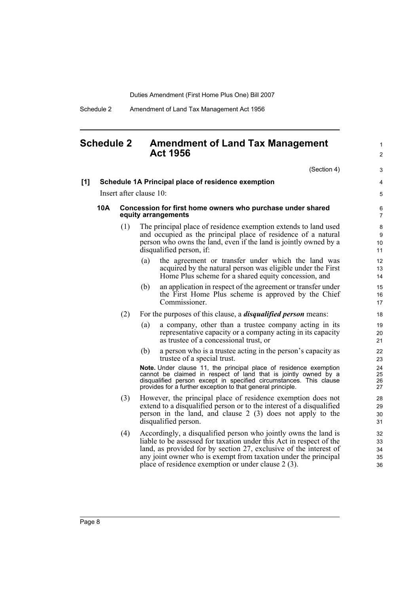Schedule 2 Amendment of Land Tax Management Act 1956

## <span id="page-13-0"></span>**Schedule 2 Amendment of Land Tax Management Act 1956**

 $(Constant)$ 

1 2

|     |     |                                                                                   | (Section 4)                                                                                                                                                                                                                                                                                                                           | 3                               |  |  |
|-----|-----|-----------------------------------------------------------------------------------|---------------------------------------------------------------------------------------------------------------------------------------------------------------------------------------------------------------------------------------------------------------------------------------------------------------------------------------|---------------------------------|--|--|
| [1] |     |                                                                                   | Schedule 1A Principal place of residence exemption                                                                                                                                                                                                                                                                                    | 4                               |  |  |
|     |     |                                                                                   | Insert after clause 10:                                                                                                                                                                                                                                                                                                               | 5                               |  |  |
|     | 10A | Concession for first home owners who purchase under shared<br>equity arrangements |                                                                                                                                                                                                                                                                                                                                       |                                 |  |  |
|     |     | (1)                                                                               | The principal place of residence exemption extends to land used<br>and occupied as the principal place of residence of a natural<br>person who owns the land, even if the land is jointly owned by a<br>disqualified person, if:                                                                                                      | 8<br>9<br>10 <sup>1</sup><br>11 |  |  |
|     |     |                                                                                   | the agreement or transfer under which the land was<br>(a)<br>acquired by the natural person was eligible under the First<br>Home Plus scheme for a shared equity concession, and                                                                                                                                                      | 12<br>13<br>14                  |  |  |
|     |     |                                                                                   | an application in respect of the agreement or transfer under<br>(b)<br>the First Home Plus scheme is approved by the Chief<br>Commissioner.                                                                                                                                                                                           | 15<br>16<br>17                  |  |  |
|     |     | (2)                                                                               | For the purposes of this clause, a <i>disqualified person</i> means:                                                                                                                                                                                                                                                                  | 18                              |  |  |
|     |     |                                                                                   | (a)<br>a company, other than a trustee company acting in its<br>representative capacity or a company acting in its capacity<br>as trustee of a concessional trust, or                                                                                                                                                                 | 19<br>20<br>21                  |  |  |
|     |     |                                                                                   | (b)<br>a person who is a trustee acting in the person's capacity as<br>trustee of a special trust.                                                                                                                                                                                                                                    | 22<br>23                        |  |  |
|     |     |                                                                                   | Note. Under clause 11, the principal place of residence exemption<br>cannot be claimed in respect of land that is jointly owned by a<br>disqualified person except in specified circumstances. This clause<br>provides for a further exception to that general principle.                                                             | 24<br>25<br>26<br>27            |  |  |
|     |     | (3)                                                                               | However, the principal place of residence exemption does not<br>extend to a disqualified person or to the interest of a disqualified<br>person in the land, and clause $2(3)$ does not apply to the<br>disqualified person.                                                                                                           | 28<br>29<br>30<br>31            |  |  |
|     |     | (4)                                                                               | Accordingly, a disqualified person who jointly owns the land is<br>liable to be assessed for taxation under this Act in respect of the<br>land, as provided for by section 27, exclusive of the interest of<br>any joint owner who is exempt from taxation under the principal<br>place of residence exemption or under clause 2 (3). | 32<br>33<br>34<br>35<br>36      |  |  |
|     |     |                                                                                   |                                                                                                                                                                                                                                                                                                                                       |                                 |  |  |